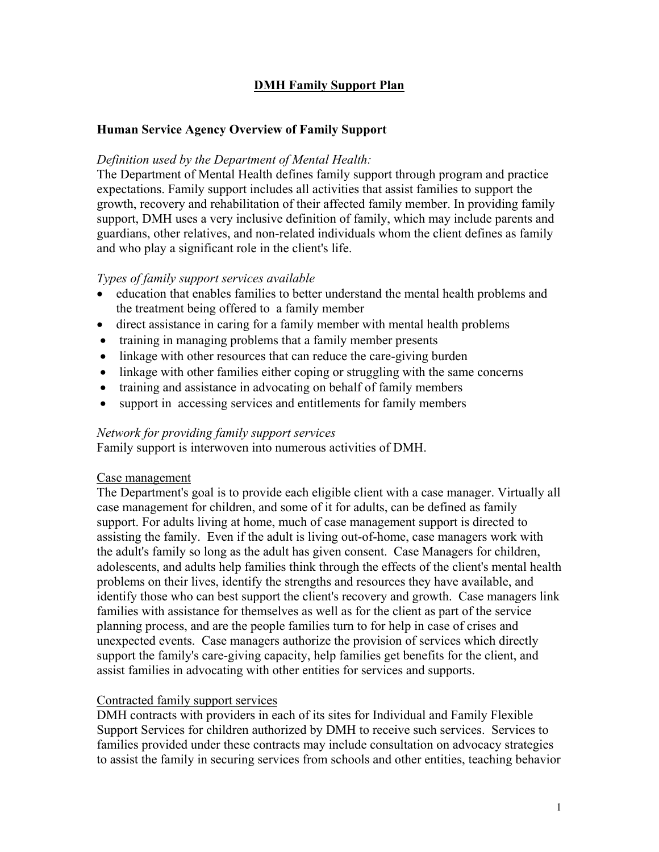## **DMH Family Support Plan**

### **Human Service Agency Overview of Family Support**

### *Definition used by the Department of Mental Health:*

The Department of Mental Health defines family support through program and practice expectations. Family support includes all activities that assist families to support the growth, recovery and rehabilitation of their affected family member. In providing family support, DMH uses a very inclusive definition of family, which may include parents and guardians, other relatives, and non-related individuals whom the client defines as family and who play a significant role in the client's life.

### *Types of family support services available*

- education that enables families to better understand the mental health problems and the treatment being offered to a family member
- direct assistance in caring for a family member with mental health problems
- training in managing problems that a family member presents
- linkage with other resources that can reduce the care-giving burden
- linkage with other families either coping or struggling with the same concerns
- training and assistance in advocating on behalf of family members
- support in accessing services and entitlements for family members

### *Network for providing family support services*

Family support is interwoven into numerous activities of DMH.

### Case management

The Department's goal is to provide each eligible client with a case manager. Virtually all case management for children, and some of it for adults, can be defined as family support. For adults living at home, much of case management support is directed to assisting the family. Even if the adult is living out-of-home, case managers work with the adult's family so long as the adult has given consent. Case Managers for children, adolescents, and adults help families think through the effects of the client's mental health problems on their lives, identify the strengths and resources they have available, and identify those who can best support the client's recovery and growth. Case managers link families with assistance for themselves as well as for the client as part of the service planning process, and are the people families turn to for help in case of crises and unexpected events. Case managers authorize the provision of services which directly support the family's care-giving capacity, help families get benefits for the client, and assist families in advocating with other entities for services and supports.

### Contracted family support services

DMH contracts with providers in each of its sites for Individual and Family Flexible Support Services for children authorized by DMH to receive such services. Services to families provided under these contracts may include consultation on advocacy strategies to assist the family in securing services from schools and other entities, teaching behavior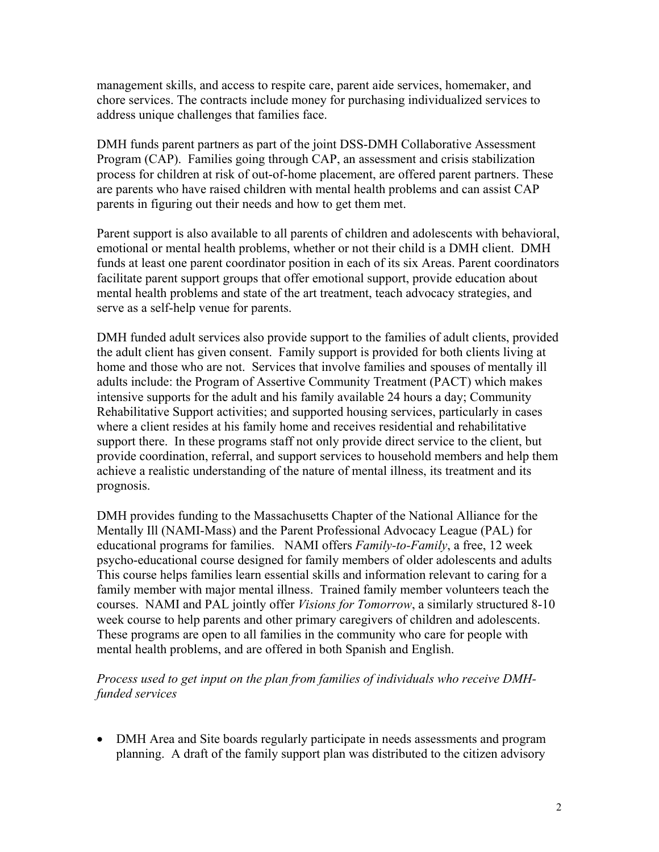management skills, and access to respite care, parent aide services, homemaker, and chore services. The contracts include money for purchasing individualized services to address unique challenges that families face.

DMH funds parent partners as part of the joint DSS-DMH Collaborative Assessment Program (CAP). Families going through CAP, an assessment and crisis stabilization process for children at risk of out-of-home placement, are offered parent partners. These are parents who have raised children with mental health problems and can assist CAP parents in figuring out their needs and how to get them met.

Parent support is also available to all parents of children and adolescents with behavioral, emotional or mental health problems, whether or not their child is a DMH client. DMH funds at least one parent coordinator position in each of its six Areas. Parent coordinators facilitate parent support groups that offer emotional support, provide education about mental health problems and state of the art treatment, teach advocacy strategies, and serve as a self-help venue for parents.

DMH funded adult services also provide support to the families of adult clients, provided the adult client has given consent. Family support is provided for both clients living at home and those who are not. Services that involve families and spouses of mentally ill adults include: the Program of Assertive Community Treatment (PACT) which makes intensive supports for the adult and his family available 24 hours a day; Community Rehabilitative Support activities; and supported housing services, particularly in cases where a client resides at his family home and receives residential and rehabilitative support there. In these programs staff not only provide direct service to the client, but provide coordination, referral, and support services to household members and help them achieve a realistic understanding of the nature of mental illness, its treatment and its prognosis.

DMH provides funding to the Massachusetts Chapter of the National Alliance for the Mentally Ill (NAMI-Mass) and the Parent Professional Advocacy League (PAL) for educational programs for families. NAMI offers *Family-to-Family*, a free, 12 week psycho-educational course designed for family members of older adolescents and adults This course helps families learn essential skills and information relevant to caring for a family member with major mental illness. Trained family member volunteers teach the courses. NAMI and PAL jointly offer *Visions for Tomorrow*, a similarly structured 8-10 week course to help parents and other primary caregivers of children and adolescents. These programs are open to all families in the community who care for people with mental health problems, and are offered in both Spanish and English.

## *Process used to get input on the plan from families of individuals who receive DMHfunded services*

• DMH Area and Site boards regularly participate in needs assessments and program planning. A draft of the family support plan was distributed to the citizen advisory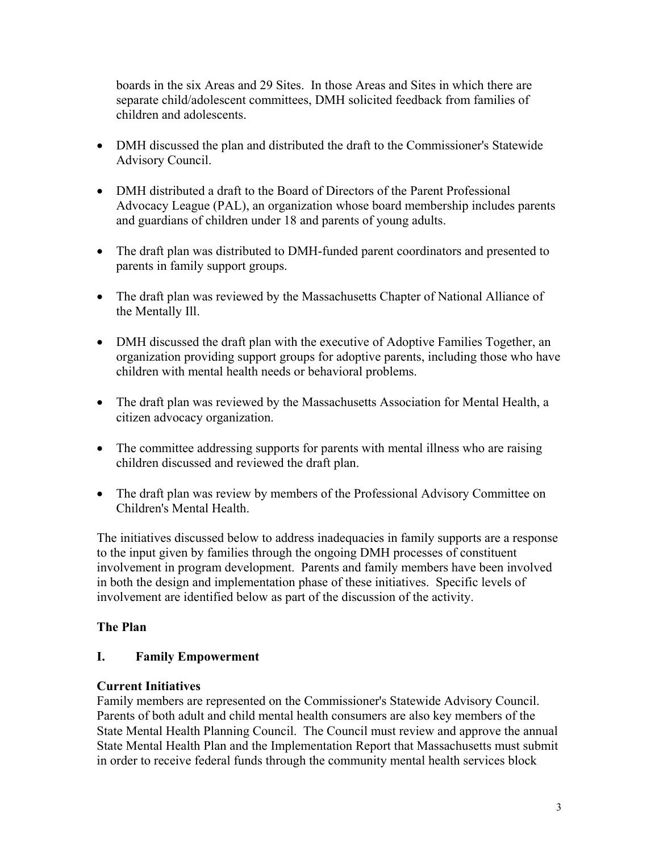boards in the six Areas and 29 Sites. In those Areas and Sites in which there are separate child/adolescent committees, DMH solicited feedback from families of children and adolescents.

- DMH discussed the plan and distributed the draft to the Commissioner's Statewide Advisory Council.
- DMH distributed a draft to the Board of Directors of the Parent Professional Advocacy League (PAL), an organization whose board membership includes parents and guardians of children under 18 and parents of young adults.
- The draft plan was distributed to DMH-funded parent coordinators and presented to parents in family support groups.
- The draft plan was reviewed by the Massachusetts Chapter of National Alliance of the Mentally Ill.
- DMH discussed the draft plan with the executive of Adoptive Families Together, an organization providing support groups for adoptive parents, including those who have children with mental health needs or behavioral problems.
- The draft plan was reviewed by the Massachusetts Association for Mental Health, a citizen advocacy organization.
- The committee addressing supports for parents with mental illness who are raising children discussed and reviewed the draft plan.
- The draft plan was review by members of the Professional Advisory Committee on Children's Mental Health.

The initiatives discussed below to address inadequacies in family supports are a response to the input given by families through the ongoing DMH processes of constituent involvement in program development. Parents and family members have been involved in both the design and implementation phase of these initiatives. Specific levels of involvement are identified below as part of the discussion of the activity.

# **The Plan**

# **I. Family Empowerment**

# **Current Initiatives**

Family members are represented on the Commissioner's Statewide Advisory Council. Parents of both adult and child mental health consumers are also key members of the State Mental Health Planning Council. The Council must review and approve the annual State Mental Health Plan and the Implementation Report that Massachusetts must submit in order to receive federal funds through the community mental health services block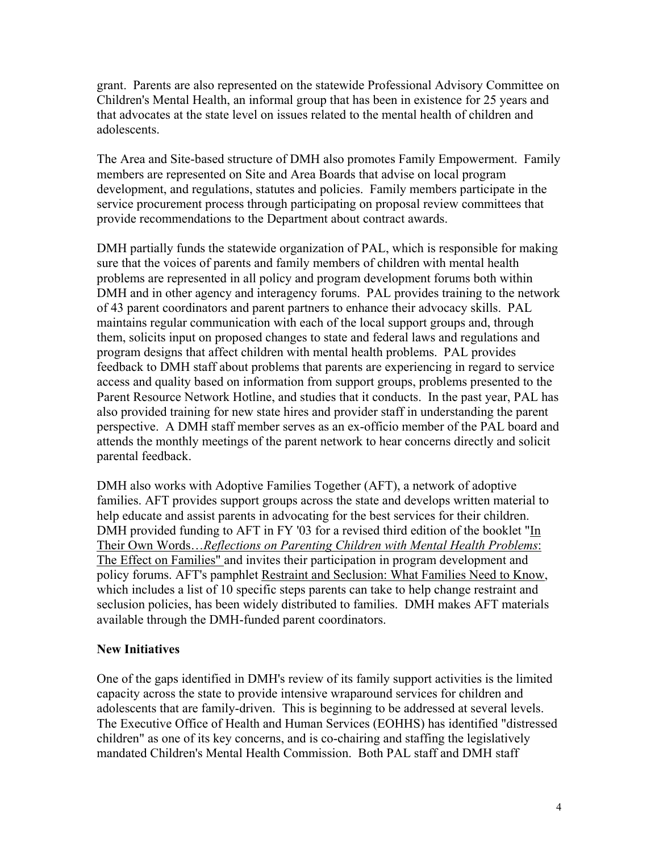grant. Parents are also represented on the statewide Professional Advisory Committee on Children's Mental Health, an informal group that has been in existence for 25 years and that advocates at the state level on issues related to the mental health of children and adolescents.

The Area and Site-based structure of DMH also promotes Family Empowerment. Family members are represented on Site and Area Boards that advise on local program development, and regulations, statutes and policies. Family members participate in the service procurement process through participating on proposal review committees that provide recommendations to the Department about contract awards.

DMH partially funds the statewide organization of PAL, which is responsible for making sure that the voices of parents and family members of children with mental health problems are represented in all policy and program development forums both within DMH and in other agency and interagency forums. PAL provides training to the network of 43 parent coordinators and parent partners to enhance their advocacy skills. PAL maintains regular communication with each of the local support groups and, through them, solicits input on proposed changes to state and federal laws and regulations and program designs that affect children with mental health problems. PAL provides feedback to DMH staff about problems that parents are experiencing in regard to service access and quality based on information from support groups, problems presented to the Parent Resource Network Hotline, and studies that it conducts. In the past year, PAL has also provided training for new state hires and provider staff in understanding the parent perspective. A DMH staff member serves as an ex-officio member of the PAL board and attends the monthly meetings of the parent network to hear concerns directly and solicit parental feedback.

DMH also works with Adoptive Families Together (AFT), a network of adoptive families. AFT provides support groups across the state and develops written material to help educate and assist parents in advocating for the best services for their children. DMH provided funding to AFT in FY '03 for a revised third edition of the booklet "In Their Own Words…*Reflections on Parenting Children with Mental Health Problems*: The Effect on Families" and invites their participation in program development and policy forums. AFT's pamphlet Restraint and Seclusion: What Families Need to Know, which includes a list of 10 specific steps parents can take to help change restraint and seclusion policies, has been widely distributed to families. DMH makes AFT materials available through the DMH-funded parent coordinators.

## **New Initiatives**

One of the gaps identified in DMH's review of its family support activities is the limited capacity across the state to provide intensive wraparound services for children and adolescents that are family-driven. This is beginning to be addressed at several levels. The Executive Office of Health and Human Services (EOHHS) has identified "distressed children" as one of its key concerns, and is co-chairing and staffing the legislatively mandated Children's Mental Health Commission. Both PAL staff and DMH staff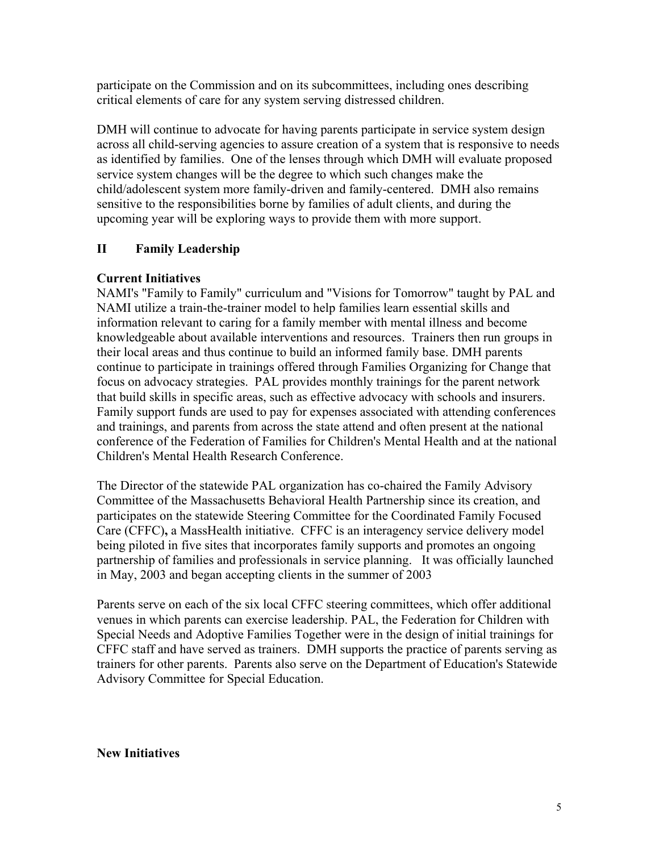participate on the Commission and on its subcommittees, including ones describing critical elements of care for any system serving distressed children.

DMH will continue to advocate for having parents participate in service system design across all child-serving agencies to assure creation of a system that is responsive to needs as identified by families. One of the lenses through which DMH will evaluate proposed service system changes will be the degree to which such changes make the child/adolescent system more family-driven and family-centered. DMH also remains sensitive to the responsibilities borne by families of adult clients, and during the upcoming year will be exploring ways to provide them with more support.

# **II Family Leadership**

## **Current Initiatives**

NAMI's "Family to Family" curriculum and "Visions for Tomorrow" taught by PAL and NAMI utilize a train-the-trainer model to help families learn essential skills and information relevant to caring for a family member with mental illness and become knowledgeable about available interventions and resources. Trainers then run groups in their local areas and thus continue to build an informed family base. DMH parents continue to participate in trainings offered through Families Organizing for Change that focus on advocacy strategies. PAL provides monthly trainings for the parent network that build skills in specific areas, such as effective advocacy with schools and insurers. Family support funds are used to pay for expenses associated with attending conferences and trainings, and parents from across the state attend and often present at the national conference of the Federation of Families for Children's Mental Health and at the national Children's Mental Health Research Conference.

The Director of the statewide PAL organization has co-chaired the Family Advisory Committee of the Massachusetts Behavioral Health Partnership since its creation, and participates on the statewide Steering Committee for the Coordinated Family Focused Care (CFFC)**,** a MassHealth initiative. CFFC is an interagency service delivery model being piloted in five sites that incorporates family supports and promotes an ongoing partnership of families and professionals in service planning. It was officially launched in May, 2003 and began accepting clients in the summer of 2003

Parents serve on each of the six local CFFC steering committees, which offer additional venues in which parents can exercise leadership. PAL, the Federation for Children with Special Needs and Adoptive Families Together were in the design of initial trainings for CFFC staff and have served as trainers. DMH supports the practice of parents serving as trainers for other parents. Parents also serve on the Department of Education's Statewide Advisory Committee for Special Education.

## **New Initiatives**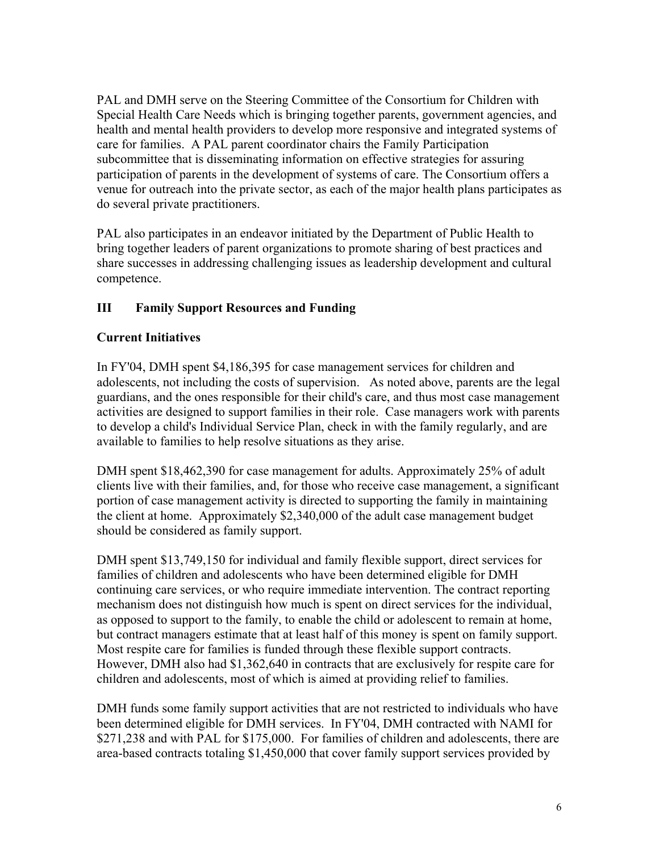PAL and DMH serve on the Steering Committee of the Consortium for Children with Special Health Care Needs which is bringing together parents, government agencies, and health and mental health providers to develop more responsive and integrated systems of care for families. A PAL parent coordinator chairs the Family Participation subcommittee that is disseminating information on effective strategies for assuring participation of parents in the development of systems of care. The Consortium offers a venue for outreach into the private sector, as each of the major health plans participates as do several private practitioners.

PAL also participates in an endeavor initiated by the Department of Public Health to bring together leaders of parent organizations to promote sharing of best practices and share successes in addressing challenging issues as leadership development and cultural competence.

# **III Family Support Resources and Funding**

# **Current Initiatives**

In FY'04, DMH spent \$4,186,395 for case management services for children and adolescents, not including the costs of supervision. As noted above, parents are the legal guardians, and the ones responsible for their child's care, and thus most case management activities are designed to support families in their role. Case managers work with parents to develop a child's Individual Service Plan, check in with the family regularly, and are available to families to help resolve situations as they arise.

DMH spent \$18,462,390 for case management for adults. Approximately 25% of adult clients live with their families, and, for those who receive case management, a significant portion of case management activity is directed to supporting the family in maintaining the client at home. Approximately \$2,340,000 of the adult case management budget should be considered as family support.

DMH spent \$13,749,150 for individual and family flexible support, direct services for families of children and adolescents who have been determined eligible for DMH continuing care services, or who require immediate intervention. The contract reporting mechanism does not distinguish how much is spent on direct services for the individual, as opposed to support to the family, to enable the child or adolescent to remain at home, but contract managers estimate that at least half of this money is spent on family support. Most respite care for families is funded through these flexible support contracts. However, DMH also had \$1,362,640 in contracts that are exclusively for respite care for children and adolescents, most of which is aimed at providing relief to families.

DMH funds some family support activities that are not restricted to individuals who have been determined eligible for DMH services. In FY'04, DMH contracted with NAMI for \$271,238 and with PAL for \$175,000. For families of children and adolescents, there are area-based contracts totaling \$1,450,000 that cover family support services provided by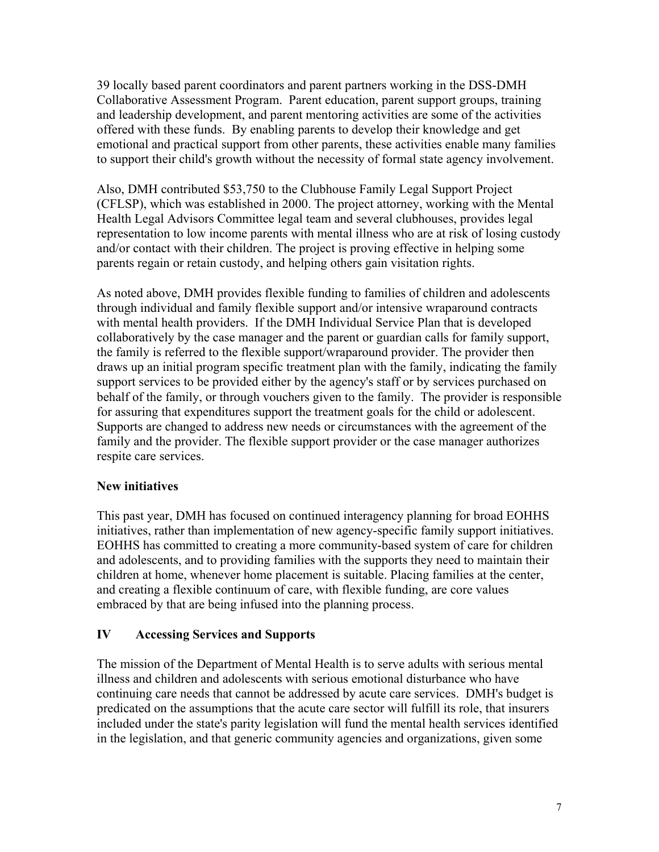39 locally based parent coordinators and parent partners working in the DSS-DMH Collaborative Assessment Program. Parent education, parent support groups, training and leadership development, and parent mentoring activities are some of the activities offered with these funds. By enabling parents to develop their knowledge and get emotional and practical support from other parents, these activities enable many families to support their child's growth without the necessity of formal state agency involvement.

Also, DMH contributed \$53,750 to the Clubhouse Family Legal Support Project (CFLSP), which was established in 2000. The project attorney, working with the Mental Health Legal Advisors Committee legal team and several clubhouses, provides legal representation to low income parents with mental illness who are at risk of losing custody and/or contact with their children. The project is proving effective in helping some parents regain or retain custody, and helping others gain visitation rights.

As noted above, DMH provides flexible funding to families of children and adolescents through individual and family flexible support and/or intensive wraparound contracts with mental health providers. If the DMH Individual Service Plan that is developed collaboratively by the case manager and the parent or guardian calls for family support, the family is referred to the flexible support/wraparound provider. The provider then draws up an initial program specific treatment plan with the family, indicating the family support services to be provided either by the agency's staff or by services purchased on behalf of the family, or through vouchers given to the family. The provider is responsible for assuring that expenditures support the treatment goals for the child or adolescent. Supports are changed to address new needs or circumstances with the agreement of the family and the provider. The flexible support provider or the case manager authorizes respite care services.

## **New initiatives**

This past year, DMH has focused on continued interagency planning for broad EOHHS initiatives, rather than implementation of new agency-specific family support initiatives. EOHHS has committed to creating a more community-based system of care for children and adolescents, and to providing families with the supports they need to maintain their children at home, whenever home placement is suitable. Placing families at the center, and creating a flexible continuum of care, with flexible funding, are core values embraced by that are being infused into the planning process.

## **IV Accessing Services and Supports**

The mission of the Department of Mental Health is to serve adults with serious mental illness and children and adolescents with serious emotional disturbance who have continuing care needs that cannot be addressed by acute care services. DMH's budget is predicated on the assumptions that the acute care sector will fulfill its role, that insurers included under the state's parity legislation will fund the mental health services identified in the legislation, and that generic community agencies and organizations, given some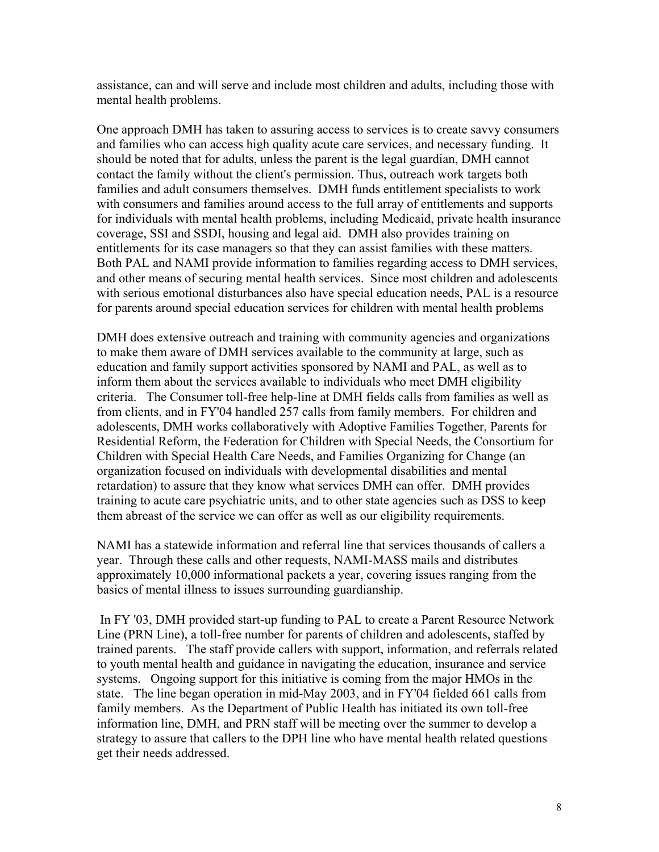assistance, can and will serve and include most children and adults, including those with mental health problems.

One approach DMH has taken to assuring access to services is to create savvy consumers and families who can access high quality acute care services, and necessary funding. It should be noted that for adults, unless the parent is the legal guardian, DMH cannot contact the family without the client's permission. Thus, outreach work targets both families and adult consumers themselves. DMH funds entitlement specialists to work with consumers and families around access to the full array of entitlements and supports for individuals with mental health problems, including Medicaid, private health insurance coverage, SSI and SSDI, housing and legal aid. DMH also provides training on entitlements for its case managers so that they can assist families with these matters. Both PAL and NAMI provide information to families regarding access to DMH services, and other means of securing mental health services. Since most children and adolescents with serious emotional disturbances also have special education needs, PAL is a resource for parents around special education services for children with mental health problems

DMH does extensive outreach and training with community agencies and organizations to make them aware of DMH services available to the community at large, such as education and family support activities sponsored by NAMI and PAL, as well as to inform them about the services available to individuals who meet DMH eligibility criteria. The Consumer toll-free help-line at DMH fields calls from families as well as from clients, and in FY'04 handled 257 calls from family members. For children and adolescents, DMH works collaboratively with Adoptive Families Together, Parents for Residential Reform, the Federation for Children with Special Needs, the Consortium for Children with Special Health Care Needs, and Families Organizing for Change (an organization focused on individuals with developmental disabilities and mental retardation) to assure that they know what services DMH can offer. DMH provides training to acute care psychiatric units, and to other state agencies such as DSS to keep them abreast of the service we can offer as well as our eligibility requirements.

NAMI has a statewide information and referral line that services thousands of callers a year. Through these calls and other requests, NAMI-MASS mails and distributes approximately 10,000 informational packets a year, covering issues ranging from the basics of mental illness to issues surrounding guardianship.

 In FY '03, DMH provided start-up funding to PAL to create a Parent Resource Network Line (PRN Line), a toll-free number for parents of children and adolescents, staffed by trained parents. The staff provide callers with support, information, and referrals related to youth mental health and guidance in navigating the education, insurance and service systems. Ongoing support for this initiative is coming from the major HMOs in the state. The line began operation in mid-May 2003, and in FY'04 fielded 661 calls from family members. As the Department of Public Health has initiated its own toll-free information line, DMH, and PRN staff will be meeting over the summer to develop a strategy to assure that callers to the DPH line who have mental health related questions get their needs addressed.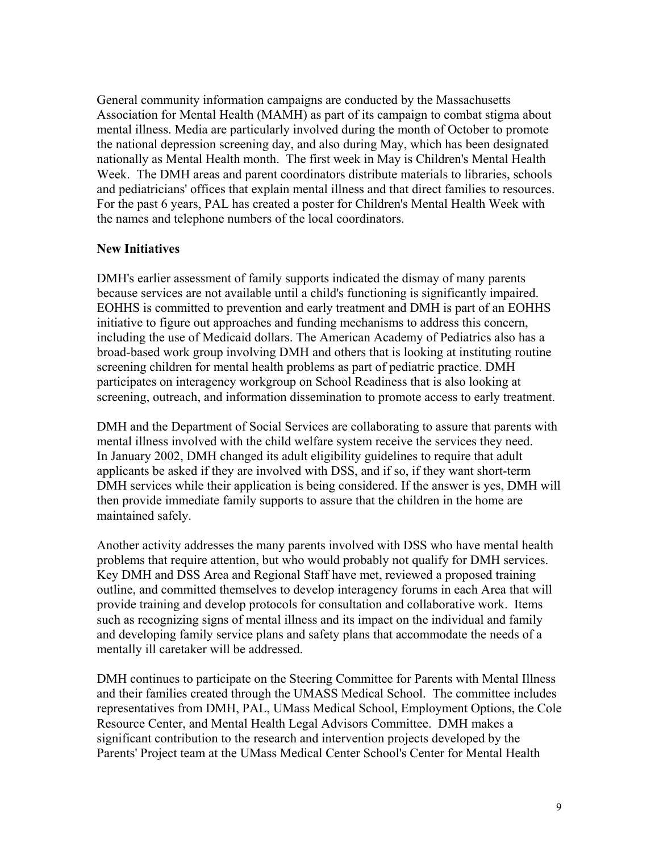General community information campaigns are conducted by the Massachusetts Association for Mental Health (MAMH) as part of its campaign to combat stigma about mental illness. Media are particularly involved during the month of October to promote the national depression screening day, and also during May, which has been designated nationally as Mental Health month. The first week in May is Children's Mental Health Week. The DMH areas and parent coordinators distribute materials to libraries, schools and pediatricians' offices that explain mental illness and that direct families to resources. For the past 6 years, PAL has created a poster for Children's Mental Health Week with the names and telephone numbers of the local coordinators.

### **New Initiatives**

DMH's earlier assessment of family supports indicated the dismay of many parents because services are not available until a child's functioning is significantly impaired. EOHHS is committed to prevention and early treatment and DMH is part of an EOHHS initiative to figure out approaches and funding mechanisms to address this concern, including the use of Medicaid dollars. The American Academy of Pediatrics also has a broad-based work group involving DMH and others that is looking at instituting routine screening children for mental health problems as part of pediatric practice. DMH participates on interagency workgroup on School Readiness that is also looking at screening, outreach, and information dissemination to promote access to early treatment.

DMH and the Department of Social Services are collaborating to assure that parents with mental illness involved with the child welfare system receive the services they need. In January 2002, DMH changed its adult eligibility guidelines to require that adult applicants be asked if they are involved with DSS, and if so, if they want short-term DMH services while their application is being considered. If the answer is yes, DMH will then provide immediate family supports to assure that the children in the home are maintained safely.

Another activity addresses the many parents involved with DSS who have mental health problems that require attention, but who would probably not qualify for DMH services. Key DMH and DSS Area and Regional Staff have met, reviewed a proposed training outline, and committed themselves to develop interagency forums in each Area that will provide training and develop protocols for consultation and collaborative work. Items such as recognizing signs of mental illness and its impact on the individual and family and developing family service plans and safety plans that accommodate the needs of a mentally ill caretaker will be addressed.

DMH continues to participate on the Steering Committee for Parents with Mental Illness and their families created through the UMASS Medical School. The committee includes representatives from DMH, PAL, UMass Medical School, Employment Options, the Cole Resource Center, and Mental Health Legal Advisors Committee. DMH makes a significant contribution to the research and intervention projects developed by the Parents' Project team at the UMass Medical Center School's Center for Mental Health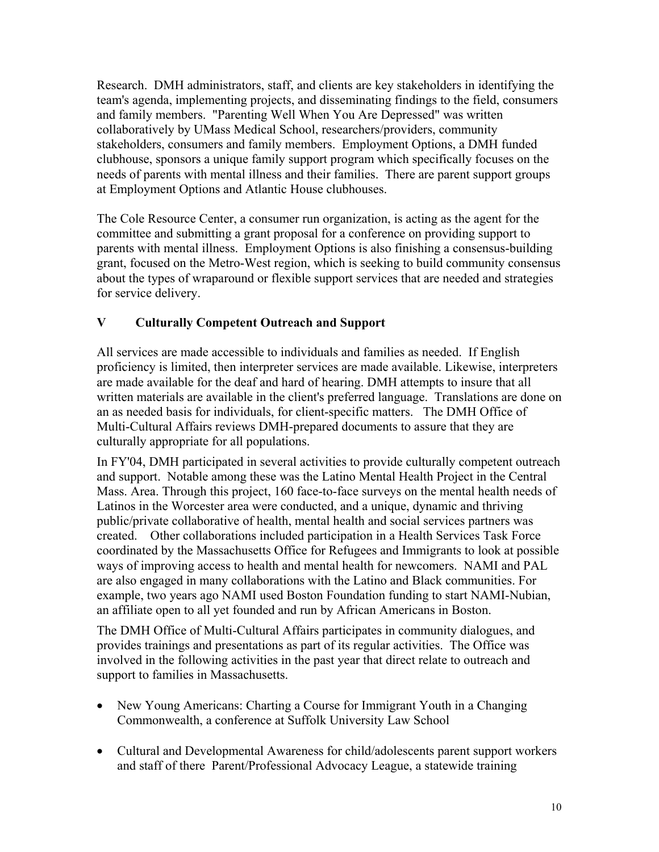Research. DMH administrators, staff, and clients are key stakeholders in identifying the team's agenda, implementing projects, and disseminating findings to the field, consumers and family members. "Parenting Well When You Are Depressed" was written collaboratively by UMass Medical School, researchers/providers, community stakeholders, consumers and family members. Employment Options, a DMH funded clubhouse, sponsors a unique family support program which specifically focuses on the needs of parents with mental illness and their families. There are parent support groups at Employment Options and Atlantic House clubhouses.

The Cole Resource Center, a consumer run organization, is acting as the agent for the committee and submitting a grant proposal for a conference on providing support to parents with mental illness. Employment Options is also finishing a consensus-building grant, focused on the Metro-West region, which is seeking to build community consensus about the types of wraparound or flexible support services that are needed and strategies for service delivery.

# **V Culturally Competent Outreach and Support**

All services are made accessible to individuals and families as needed. If English proficiency is limited, then interpreter services are made available. Likewise, interpreters are made available for the deaf and hard of hearing. DMH attempts to insure that all written materials are available in the client's preferred language. Translations are done on an as needed basis for individuals, for client-specific matters. The DMH Office of Multi-Cultural Affairs reviews DMH-prepared documents to assure that they are culturally appropriate for all populations.

In FY'04, DMH participated in several activities to provide culturally competent outreach and support. Notable among these was the Latino Mental Health Project in the Central Mass. Area. Through this project, 160 face-to-face surveys on the mental health needs of Latinos in the Worcester area were conducted, and a unique, dynamic and thriving public/private collaborative of health, mental health and social services partners was created. Other collaborations included participation in a Health Services Task Force coordinated by the Massachusetts Office for Refugees and Immigrants to look at possible ways of improving access to health and mental health for newcomers. NAMI and PAL are also engaged in many collaborations with the Latino and Black communities. For example, two years ago NAMI used Boston Foundation funding to start NAMI-Nubian, an affiliate open to all yet founded and run by African Americans in Boston.

The DMH Office of Multi-Cultural Affairs participates in community dialogues, and provides trainings and presentations as part of its regular activities. The Office was involved in the following activities in the past year that direct relate to outreach and support to families in Massachusetts.

- New Young Americans: Charting a Course for Immigrant Youth in a Changing Commonwealth, a conference at Suffolk University Law School
- Cultural and Developmental Awareness for child/adolescents parent support workers and staff of there Parent/Professional Advocacy League, a statewide training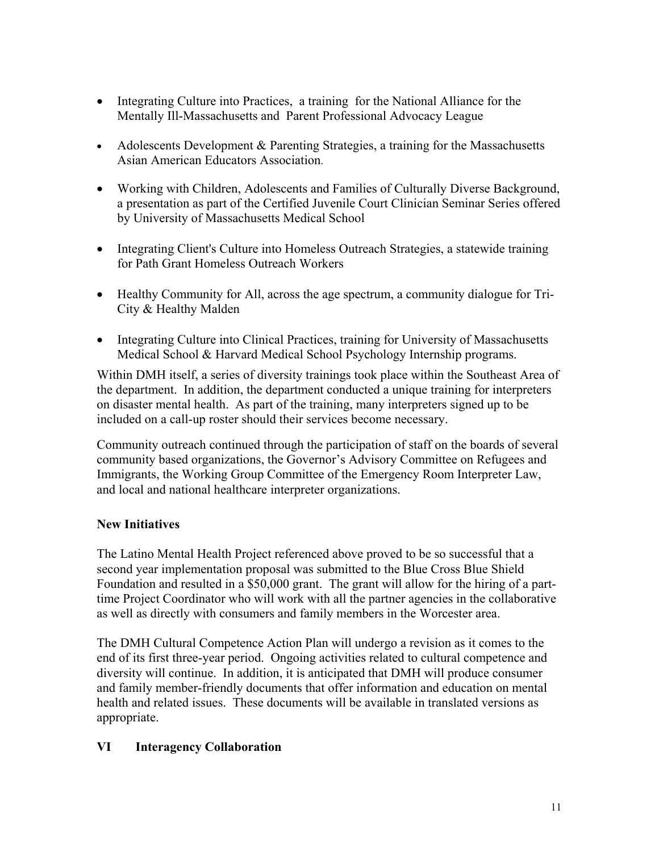- Integrating Culture into Practices, a training for the National Alliance for the Mentally Ill-Massachusetts and Parent Professional Advocacy League
- Adolescents Development & Parenting Strategies, a training for the Massachusetts Asian American Educators Association.
- Working with Children, Adolescents and Families of Culturally Diverse Background, a presentation as part of the Certified Juvenile Court Clinician Seminar Series offered by University of Massachusetts Medical School
- Integrating Client's Culture into Homeless Outreach Strategies, a statewide training for Path Grant Homeless Outreach Workers
- Healthy Community for All, across the age spectrum, a community dialogue for Tri-City & Healthy Malden
- Integrating Culture into Clinical Practices, training for University of Massachusetts Medical School & Harvard Medical School Psychology Internship programs.

Within DMH itself, a series of diversity trainings took place within the Southeast Area of the department. In addition, the department conducted a unique training for interpreters on disaster mental health. As part of the training, many interpreters signed up to be included on a call-up roster should their services become necessary.

Community outreach continued through the participation of staff on the boards of several community based organizations, the Governor's Advisory Committee on Refugees and Immigrants, the Working Group Committee of the Emergency Room Interpreter Law, and local and national healthcare interpreter organizations.

# **New Initiatives**

The Latino Mental Health Project referenced above proved to be so successful that a second year implementation proposal was submitted to the Blue Cross Blue Shield Foundation and resulted in a \$50,000 grant. The grant will allow for the hiring of a parttime Project Coordinator who will work with all the partner agencies in the collaborative as well as directly with consumers and family members in the Worcester area.

The DMH Cultural Competence Action Plan will undergo a revision as it comes to the end of its first three-year period. Ongoing activities related to cultural competence and diversity will continue. In addition, it is anticipated that DMH will produce consumer and family member-friendly documents that offer information and education on mental health and related issues. These documents will be available in translated versions as appropriate.

## **VI Interagency Collaboration**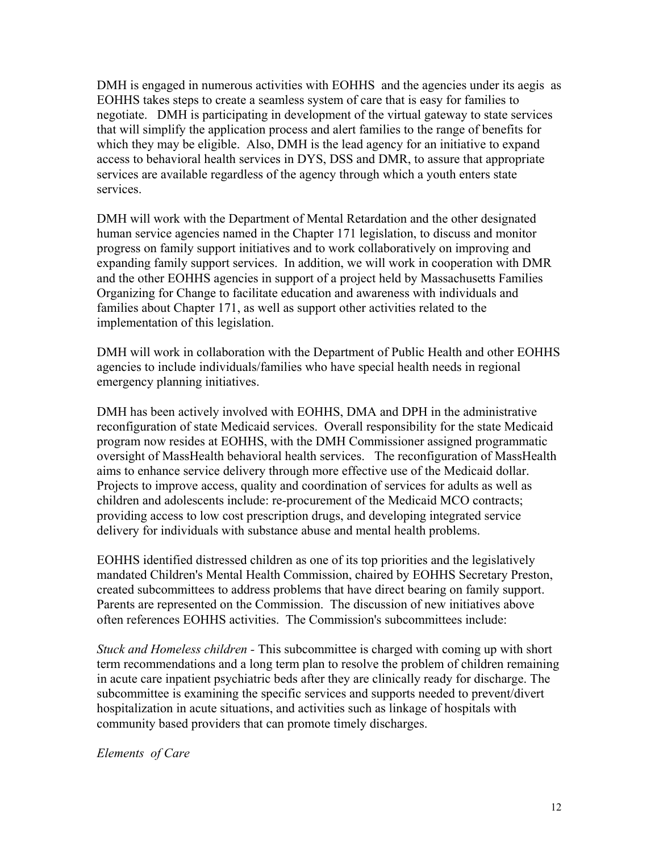DMH is engaged in numerous activities with EOHHS and the agencies under its aegis as EOHHS takes steps to create a seamless system of care that is easy for families to negotiate. DMH is participating in development of the virtual gateway to state services that will simplify the application process and alert families to the range of benefits for which they may be eligible. Also, DMH is the lead agency for an initiative to expand access to behavioral health services in DYS, DSS and DMR, to assure that appropriate services are available regardless of the agency through which a youth enters state services.

DMH will work with the Department of Mental Retardation and the other designated human service agencies named in the Chapter 171 legislation, to discuss and monitor progress on family support initiatives and to work collaboratively on improving and expanding family support services. In addition, we will work in cooperation with DMR and the other EOHHS agencies in support of a project held by Massachusetts Families Organizing for Change to facilitate education and awareness with individuals and families about Chapter 171, as well as support other activities related to the implementation of this legislation.

DMH will work in collaboration with the Department of Public Health and other EOHHS agencies to include individuals/families who have special health needs in regional emergency planning initiatives.

DMH has been actively involved with EOHHS, DMA and DPH in the administrative reconfiguration of state Medicaid services. Overall responsibility for the state Medicaid program now resides at EOHHS, with the DMH Commissioner assigned programmatic oversight of MassHealth behavioral health services. The reconfiguration of MassHealth aims to enhance service delivery through more effective use of the Medicaid dollar. Projects to improve access, quality and coordination of services for adults as well as children and adolescents include: re-procurement of the Medicaid MCO contracts; providing access to low cost prescription drugs, and developing integrated service delivery for individuals with substance abuse and mental health problems.

EOHHS identified distressed children as one of its top priorities and the legislatively mandated Children's Mental Health Commission, chaired by EOHHS Secretary Preston, created subcommittees to address problems that have direct bearing on family support. Parents are represented on the Commission. The discussion of new initiatives above often references EOHHS activities. The Commission's subcommittees include:

*Stuck and Homeless children -* This subcommittee is charged with coming up with short term recommendations and a long term plan to resolve the problem of children remaining in acute care inpatient psychiatric beds after they are clinically ready for discharge. The subcommittee is examining the specific services and supports needed to prevent/divert hospitalization in acute situations, and activities such as linkage of hospitals with community based providers that can promote timely discharges.

*Elements of Care*